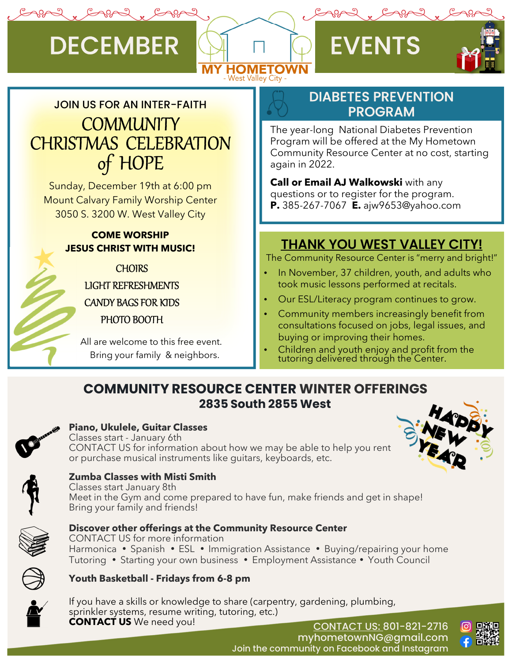# DECEMBER Q FVENTS





# JOIN US FOR AN INTER-FAITH **COMMUNITY** CHRISTMAS CELEBRATION of HOPE

Sunday, December 19th at 6:00 pm Mount Calvary Family Worship Center 3050 S. 3200 W. West Valley City

## **COME WORSHIP JESUS CHRIST WITH MUSIC!**

**CHOIRS** LIGHT REFRESHMENTS CANDY BAGS FOR KIDS PHOTO BOOTH

 All are welcome to this free event. Bring your family & neighbors.

## DIABETES PREVENTION PROGRAM

The year-long National Diabetes Prevention Program will be offered at the My Hometown Community Resource Center at no cost, starting again in 2022.

**Call or Email AJ Walkowski** with any questions or to register for the program. **P.** 385-267-7067 **E.** ajw9653@yahoo.com

## THANK YOU WEST VALLEY CITY!

The Community Resource Center is "merry and bright!"

- In November, 37 children, youth, and adults who took music lessons performed at recitals.
- Our ESL/Literacy program continues to grow.
- Community members increasingly benefit from consultations focused on jobs, legal issues, and buying or improving their homes.
- Children and youth enjoy and profit from the tutoring delivered through the Center.

## **COMMUNITY RESOURCE CENTER WINTER OFFERINGS 2835 South 2855 West**



### **Piano, Ukulele, Guitar Classes**

Classes start - January 6th CONTACT US for information about how we may be able to help you rent or purchase musical instruments like guitars, keyboards, etc.





#### **Zumba Classes with Misti Smith**

Classes start January 8th Meet in the Gym and come prepared to have fun, make friends and get in shape! Bring your family and friends!



#### **Discover other offerings at the Community Resource Center**

CONTACT US for more information Harmonica • Spanish • ESL • Immigration Assistance • Buying/repairing your home Tutoring • Starting your own business • Employment Assistance • Youth Council

### **Youth Basketball - Fridays from 6-8 pm**



If you have a skills or knowledge to share (carpentry, gardening, plumbing, sprinkler systems, resume writing, tutoring, etc.) **CONTACT US** We need you!